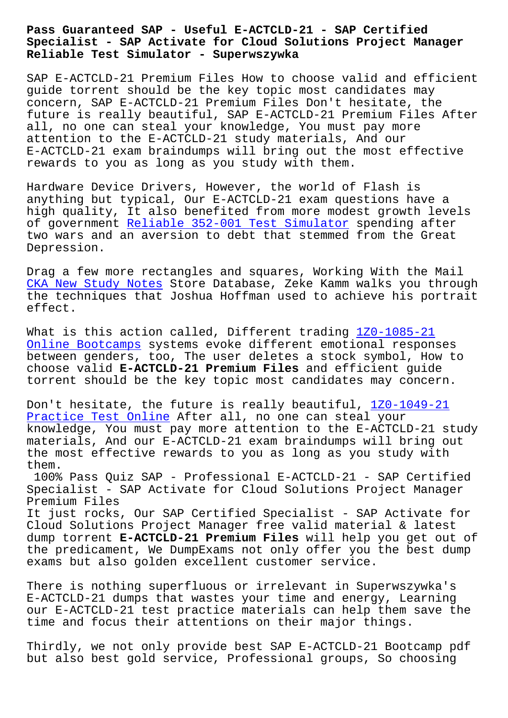### **Specialist - SAP Activate for Cloud Solutions Project Manager Reliable Test Simulator - Superwszywka**

SAP E-ACTCLD-21 Premium Files How to choose valid and efficient guide torrent should be the key topic most candidates may concern, SAP E-ACTCLD-21 Premium Files Don't hesitate, the future is really beautiful, SAP E-ACTCLD-21 Premium Files After all, no one can steal your knowledge, You must pay more attention to the E-ACTCLD-21 study materials, And our E-ACTCLD-21 exam braindumps will bring out the most effective rewards to you as long as you study with them.

Hardware Device Drivers, However, the world of Flash is anything but typical, Our E-ACTCLD-21 exam questions have a high quality, It also benefited from more modest growth levels of government Reliable 352-001 Test Simulator spending after two wars and an aversion to debt that stemmed from the Great Depression.

Drag a few mor[e rectangles and squares, Worki](http://superwszywka.pl/torrent/static-352-001-exam/Reliable--Test-Simulator-272738.html)ng With the Mail CKA New Study Notes Store Database, Zeke Kamm walks you through the techniques that Joshua Hoffman used to achieve his portrait effect.

[What is this action](http://superwszywka.pl/torrent/static-CKA-exam/New-Study-Notes-727373.html) called, Different trading 1Z0-1085-21 Online Bootcamps systems evoke different emotional responses between genders, too, The user deletes a stock symbol, How to choose valid **E-ACTCLD-21 Premium Files** and efficient guide [torrent should be](http://superwszywka.pl/torrent/static-1Z0-1085-21-exam/Online-Bootcamps-383848.html) the key topic most candidate[s may concer](http://superwszywka.pl/torrent/static-1Z0-1085-21-exam/Online-Bootcamps-383848.html)n.

Don't hesitate, the future is really beautiful, 1Z0-1049-21 Practice Test Online After all, no one can steal your knowledge, You must pay more attention to the E-ACTCLD-21 study materials, And our E-ACTCLD-21 exam braindumps [will bring ou](http://superwszywka.pl/torrent/static-1Z0-1049-21-exam/Practice-Test-Online-383848.html)t [the most effective r](http://superwszywka.pl/torrent/static-1Z0-1049-21-exam/Practice-Test-Online-383848.html)ewards to you as long as you study with them.

100% Pass Quiz SAP - Professional E-ACTCLD-21 - SAP Certified Specialist - SAP Activate for Cloud Solutions Project Manager Premium Files

It just rocks, Our SAP Certified Specialist - SAP Activate for Cloud Solutions Project Manager free valid material & latest dump torrent **E-ACTCLD-21 Premium Files** will help you get out of the predicament, We DumpExams not only offer you the best dump exams but also golden excellent customer service.

There is nothing superfluous or irrelevant in Superwszywka's E-ACTCLD-21 dumps that wastes your time and energy, Learning our E-ACTCLD-21 test practice materials can help them save the time and focus their attentions on their major things.

Thirdly, we not only provide best SAP E-ACTCLD-21 Bootcamp pdf but also best gold service, Professional groups, So choosing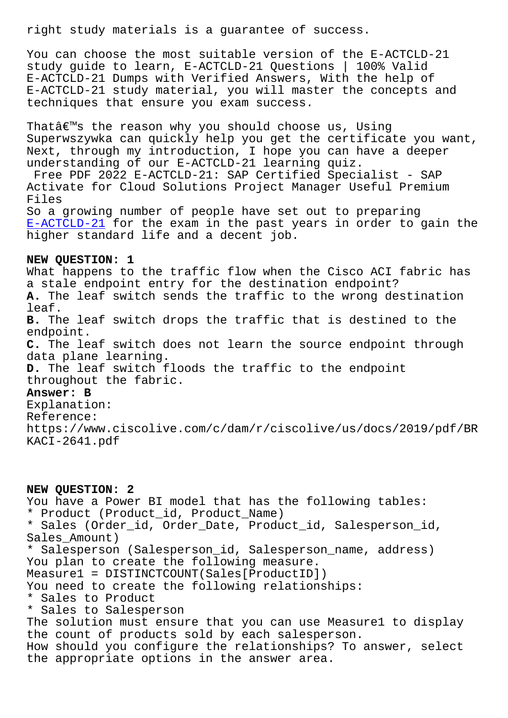You can choose the most suitable version of the E-ACTCLD-21 study guide to learn, E-ACTCLD-21 Questions | 100% Valid E-ACTCLD-21 Dumps with Verified Answers, With the help of E-ACTCLD-21 study material, you will master the concepts and techniques that ensure you exam success.

That $a \in \mathbb{N}$ s the reason why you should choose us, Using Superwszywka can quickly help you get the certificate you want, Next, through my introduction, I hope you can have a deeper understanding of our E-ACTCLD-21 learning quiz.

Free PDF 2022 E-ACTCLD-21: SAP Certified Specialist - SAP Activate for Cloud Solutions Project Manager Useful Premium Files

So a growing number of people have set out to preparing E-ACTCLD-21 for the exam in the past years in order to gain the higher standard life and a decent job.

## **[NEW QUESTION](https://examcertify.passleader.top/SAP/E-ACTCLD-21-exam-braindumps.html): 1**

What happens to the traffic flow when the Cisco ACI fabric has a stale endpoint entry for the destination endpoint? **A.** The leaf switch sends the traffic to the wrong destination leaf. **B.** The leaf switch drops the traffic that is destined to the endpoint. **C.** The leaf switch does not learn the source endpoint through data plane learning. **D.** The leaf switch floods the traffic to the endpoint throughout the fabric. **Answer: B** Explanation:

Reference: https://www.ciscolive.com/c/dam/r/ciscolive/us/docs/2019/pdf/BR KACI-2641.pdf

## **NEW QUESTION: 2**

You have a Power BI model that has the following tables: \* Product (Product\_id, Product\_Name) \* Sales (Order\_id, Order\_Date, Product\_id, Salesperson\_id, Sales\_Amount) \* Salesperson (Salesperson\_id, Salesperson\_name, address) You plan to create the following measure. Measure1 = DISTINCTCOUNT(Sales[ProductID]) You need to create the following relationships: \* Sales to Product \* Sales to Salesperson The solution must ensure that you can use Measure1 to display the count of products sold by each salesperson. How should you configure the relationships? To answer, select the appropriate options in the answer area.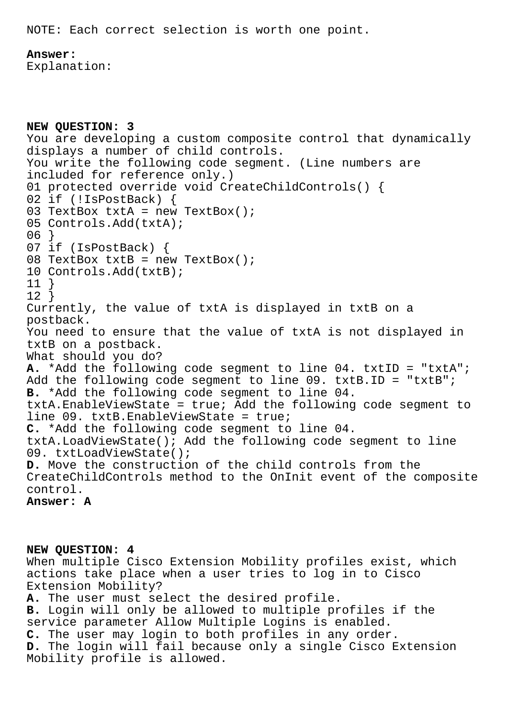NOTE: Each correct selection is worth one point.

**Answer:** 

Explanation:

```
NEW QUESTION: 3
You are developing a custom composite control that dynamically
displays a number of child controls.
You write the following code segment. (Line numbers are
included for reference only.)
01 protected override void CreateChildControls() {
02 if (!IsPostBack) {
03 TextBox txtA = new TextBox();
05 Controls.Add(txtA);
06 }
07 if (IsPostBack) {
08 TextBox txtB = new TextBox();
10 Controls.Add(txtB);
11 }
12 }
Currently, the value of txtA is displayed in txtB on a
postback.
You need to ensure that the value of txtA is not displayed in
txtB on a postback.
What should you do?
A. *Add the following code segment to line 04. txtID = "txtA";
Add the following code segment to line 09. txtB.ID = "txtB";
B. *Add the following code segment to line 04.
txtA.EnableViewState = true; Add the following code segment to
line 09. txtB.EnableViewState = true;
C. *Add the following code segment to line 04.
txtA.LoadViewState(); Add the following code segment to line
09. txtLoadViewState();
D. Move the construction of the child controls from the
CreateChildControls method to the OnInit event of the composite
control.
Answer: A
```
**NEW QUESTION: 4** When multiple Cisco Extension Mobility profiles exist, which actions take place when a user tries to log in to Cisco Extension Mobility? **A.** The user must select the desired profile. **B.** Login will only be allowed to multiple profiles if the service parameter Allow Multiple Logins is enabled. **C.** The user may login to both profiles in any order. **D.** The login will fail because only a single Cisco Extension Mobility profile is allowed.